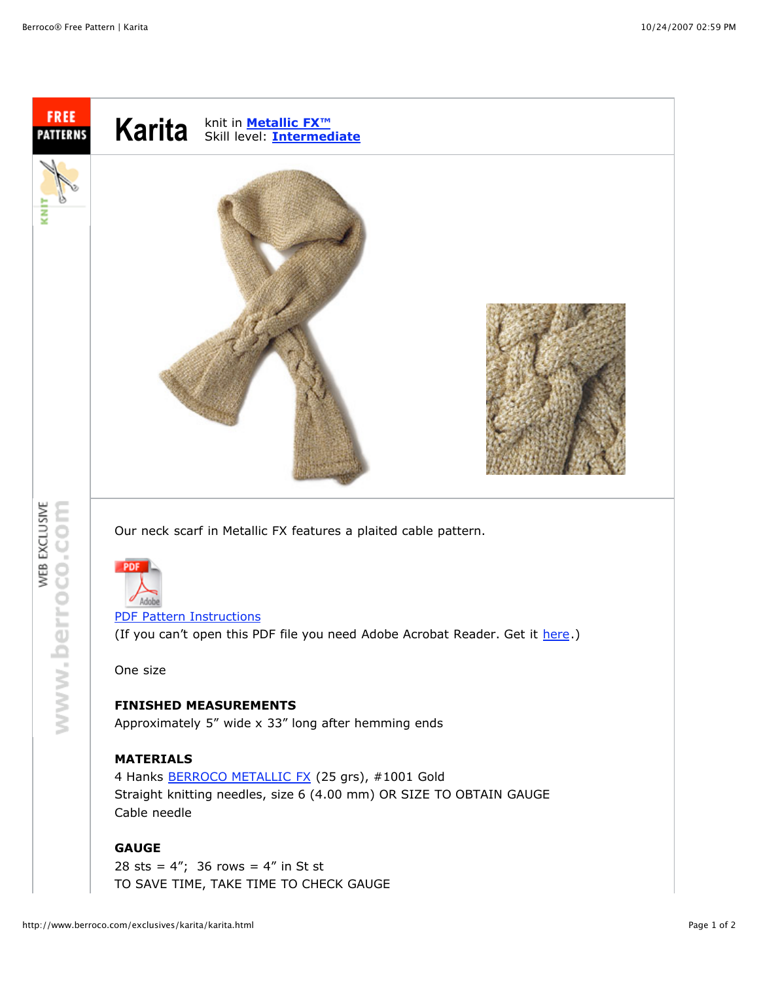